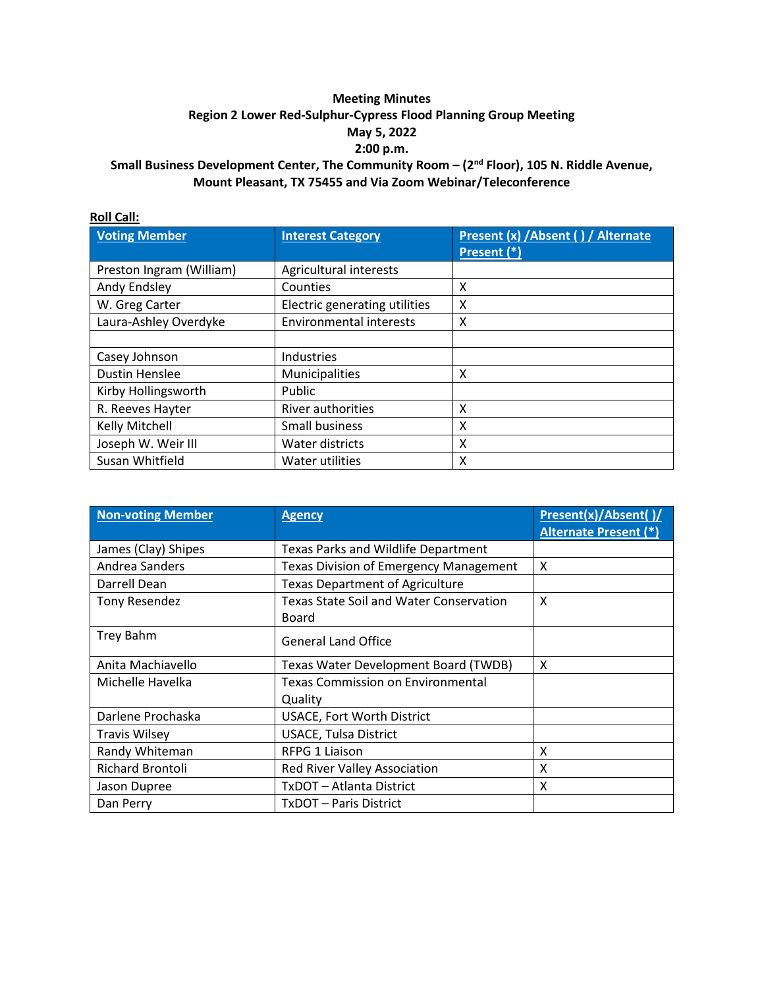# **Meeting Minutes Region 2 Lower Red-Sulphur-Cypress Flood Planning Group Meeting May 5, 2022 2:00 p.m.**

# **Small Business Development Center, The Community Room – (2nd Floor), 105 N. Riddle Avenue, Mount Pleasant, TX 75455 and Via Zoom Webinar/Teleconference**

#### **Roll Call:**

| <b>Voting Member</b>     | <b>Interest Category</b>       | Present (x) / Absent () / Alternate |
|--------------------------|--------------------------------|-------------------------------------|
|                          |                                | Present (*)                         |
| Preston Ingram (William) | Agricultural interests         |                                     |
| Andy Endsley             | Counties                       | x                                   |
| W. Greg Carter           | Electric generating utilities  | X                                   |
| Laura-Ashley Overdyke    | <b>Environmental interests</b> | X                                   |
|                          |                                |                                     |
| Casey Johnson            | Industries                     |                                     |
| <b>Dustin Henslee</b>    | Municipalities                 | X                                   |
| Kirby Hollingsworth      | Public                         |                                     |
| R. Reeves Hayter         | River authorities              | X                                   |
| Kelly Mitchell           | Small business                 | Χ                                   |
| Joseph W. Weir III       | Water districts                | x                                   |
| Susan Whitfield          | Water utilities                | x                                   |

| <b>Non-voting Member</b> | <b>Agency</b>                                 | Present(x)/Absent()/         |
|--------------------------|-----------------------------------------------|------------------------------|
|                          |                                               | <b>Alternate Present (*)</b> |
| James (Clay) Shipes      | <b>Texas Parks and Wildlife Department</b>    |                              |
| Andrea Sanders           | <b>Texas Division of Emergency Management</b> | X                            |
| Darrell Dean             | <b>Texas Department of Agriculture</b>        |                              |
| <b>Tony Resendez</b>     | Texas State Soil and Water Conservation       | X                            |
|                          | Board                                         |                              |
| Trey Bahm                | <b>General Land Office</b>                    |                              |
| Anita Machiavello        | Texas Water Development Board (TWDB)          | X                            |
| Michelle Havelka         | <b>Texas Commission on Environmental</b>      |                              |
|                          | Quality                                       |                              |
| Darlene Prochaska        | <b>USACE, Fort Worth District</b>             |                              |
| <b>Travis Wilsey</b>     | <b>USACE, Tulsa District</b>                  |                              |
| Randy Whiteman           | RFPG 1 Liaison                                | X                            |
| Richard Brontoli         | Red River Valley Association                  | X                            |
| Jason Dupree             | TxDOT - Atlanta District                      | X                            |
| Dan Perry                | TxDOT - Paris District                        |                              |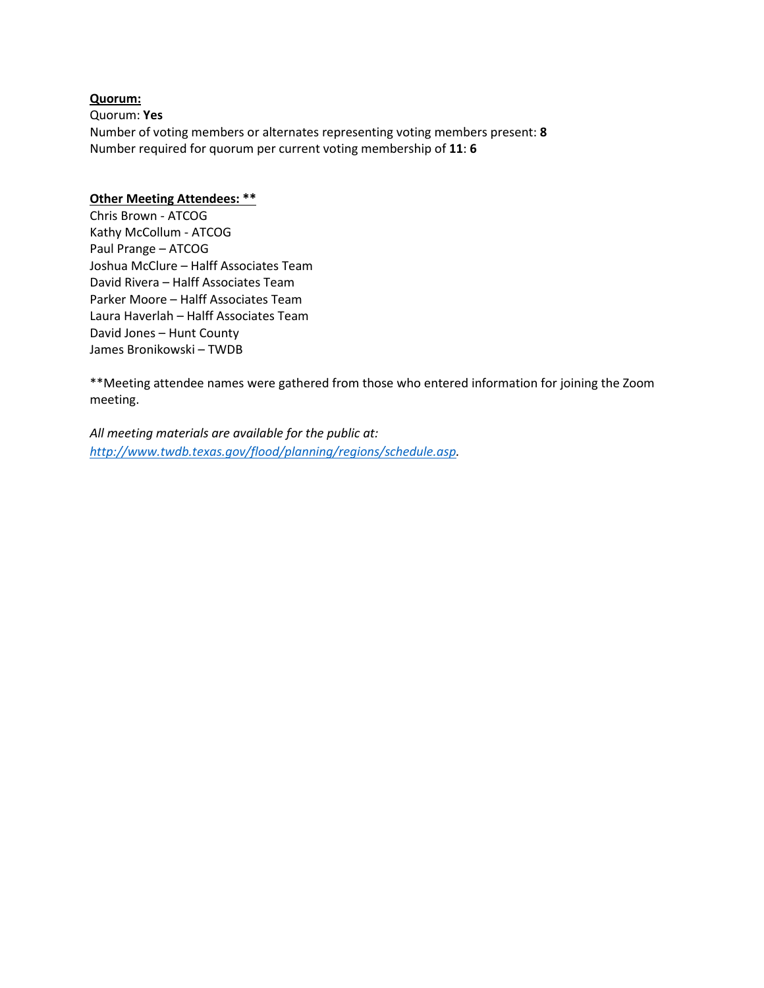### **Quorum:**

Quorum: **Yes** Number of voting members or alternates representing voting members present: **8** Number required for quorum per current voting membership of **11**: **6** 

## **Other Meeting Attendees: \*\***

Chris Brown - ATCOG Kathy McCollum - ATCOG Paul Prange – ATCOG Joshua McClure – Halff Associates Team David Rivera – Halff Associates Team Parker Moore – Halff Associates Team Laura Haverlah – Halff Associates Team David Jones – Hunt County James Bronikowski – TWDB

\*\*Meeting attendee names were gathered from those who entered information for joining the Zoom meeting.

*All meeting materials are available for the public at: [http://www.twdb.texas.gov/flood/planning/regions/schedule.asp.](http://www.twdb.texas.gov/flood/planning/regions/schedule.asp)*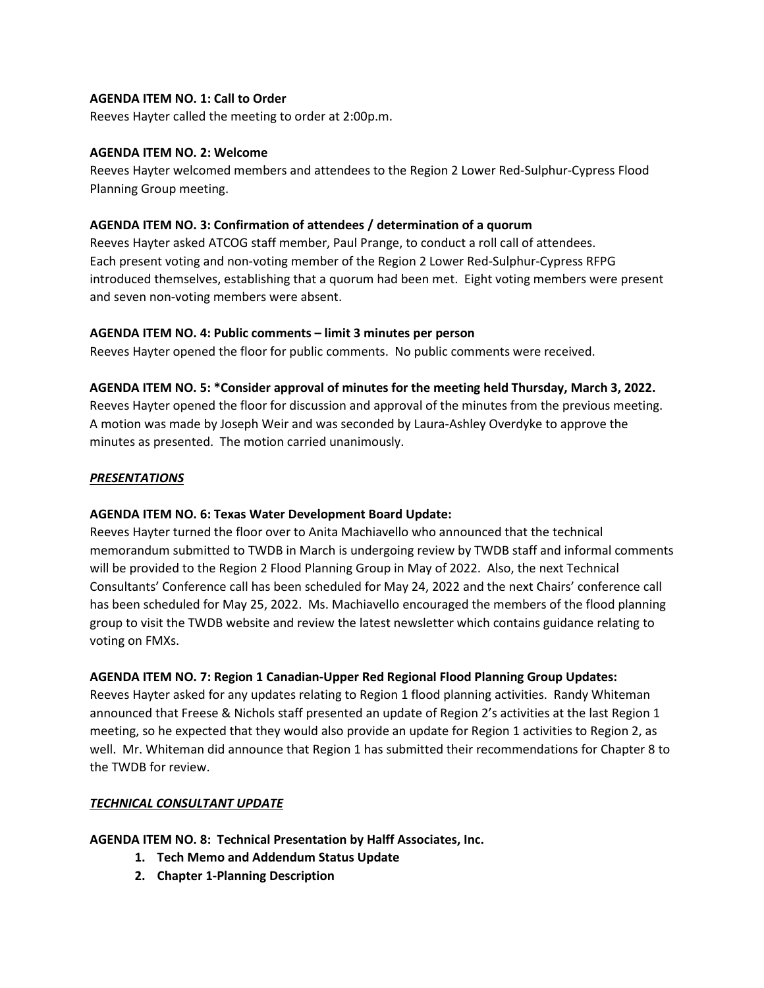## **AGENDA ITEM NO. 1: Call to Order**

Reeves Hayter called the meeting to order at 2:00p.m.

### **AGENDA ITEM NO. 2: Welcome**

Reeves Hayter welcomed members and attendees to the Region 2 Lower Red-Sulphur-Cypress Flood Planning Group meeting.

### **AGENDA ITEM NO. 3: Confirmation of attendees / determination of a quorum**

Reeves Hayter asked ATCOG staff member, Paul Prange, to conduct a roll call of attendees. Each present voting and non-voting member of the Region 2 Lower Red-Sulphur-Cypress RFPG introduced themselves, establishing that a quorum had been met. Eight voting members were present and seven non-voting members were absent.

#### **AGENDA ITEM NO. 4: Public comments – limit 3 minutes per person**

Reeves Hayter opened the floor for public comments. No public comments were received.

#### **AGENDA ITEM NO. 5: \*Consider approval of minutes for the meeting held Thursday, March 3, 2022.**

Reeves Hayter opened the floor for discussion and approval of the minutes from the previous meeting. A motion was made by Joseph Weir and was seconded by Laura-Ashley Overdyke to approve the minutes as presented. The motion carried unanimously.

#### *PRESENTATIONS*

## **AGENDA ITEM NO. 6: Texas Water Development Board Update:**

Reeves Hayter turned the floor over to Anita Machiavello who announced that the technical memorandum submitted to TWDB in March is undergoing review by TWDB staff and informal comments will be provided to the Region 2 Flood Planning Group in May of 2022. Also, the next Technical Consultants' Conference call has been scheduled for May 24, 2022 and the next Chairs' conference call has been scheduled for May 25, 2022. Ms. Machiavello encouraged the members of the flood planning group to visit the TWDB website and review the latest newsletter which contains guidance relating to voting on FMXs.

## **AGENDA ITEM NO. 7: Region 1 Canadian-Upper Red Regional Flood Planning Group Updates:**

Reeves Hayter asked for any updates relating to Region 1 flood planning activities. Randy Whiteman announced that Freese & Nichols staff presented an update of Region 2's activities at the last Region 1 meeting, so he expected that they would also provide an update for Region 1 activities to Region 2, as well. Mr. Whiteman did announce that Region 1 has submitted their recommendations for Chapter 8 to the TWDB for review.

## *TECHNICAL CONSULTANT UPDATE*

#### **AGENDA ITEM NO. 8: Technical Presentation by Halff Associates, Inc.**

- **1. Tech Memo and Addendum Status Update**
- **2. Chapter 1-Planning Description**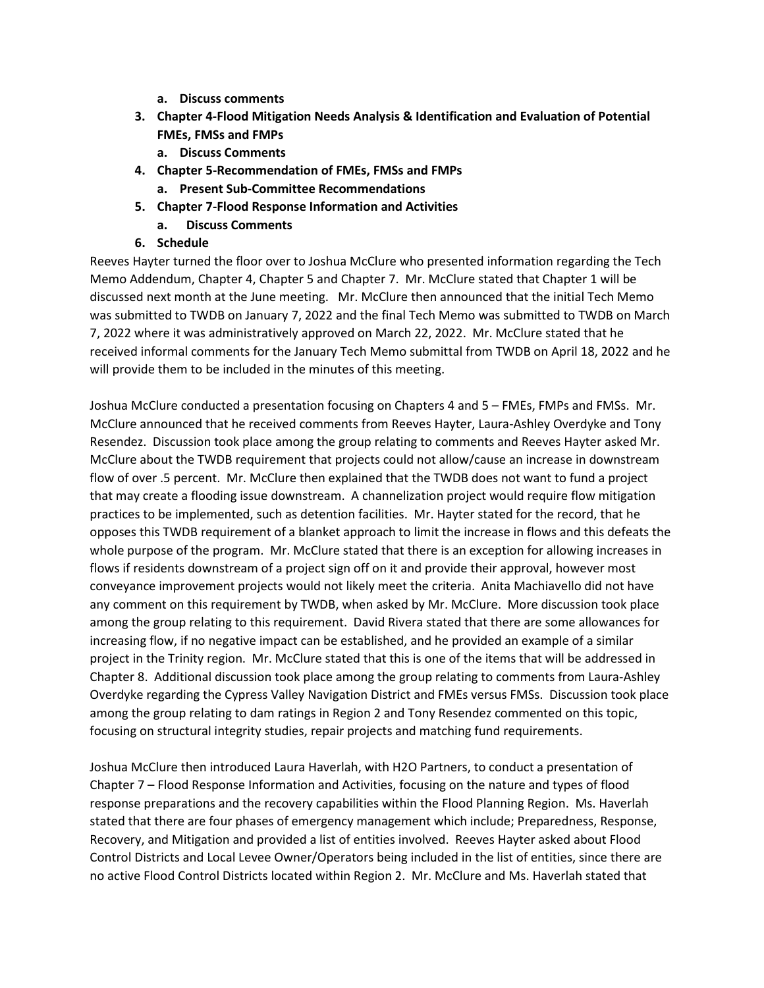- **a. Discuss comments**
- **3. Chapter 4-Flood Mitigation Needs Analysis & Identification and Evaluation of Potential FMEs, FMSs and FMPs**
	- **a. Discuss Comments**
- **4. Chapter 5-Recommendation of FMEs, FMSs and FMPs**
	- **a. Present Sub-Committee Recommendations**
- **5. Chapter 7-Flood Response Information and Activities**
	- **a. Discuss Comments**
- **6. Schedule**

Reeves Hayter turned the floor over to Joshua McClure who presented information regarding the Tech Memo Addendum, Chapter 4, Chapter 5 and Chapter 7. Mr. McClure stated that Chapter 1 will be discussed next month at the June meeting. Mr. McClure then announced that the initial Tech Memo was submitted to TWDB on January 7, 2022 and the final Tech Memo was submitted to TWDB on March 7, 2022 where it was administratively approved on March 22, 2022. Mr. McClure stated that he received informal comments for the January Tech Memo submittal from TWDB on April 18, 2022 and he will provide them to be included in the minutes of this meeting.

Joshua McClure conducted a presentation focusing on Chapters 4 and 5 – FMEs, FMPs and FMSs. Mr. McClure announced that he received comments from Reeves Hayter, Laura-Ashley Overdyke and Tony Resendez. Discussion took place among the group relating to comments and Reeves Hayter asked Mr. McClure about the TWDB requirement that projects could not allow/cause an increase in downstream flow of over .5 percent. Mr. McClure then explained that the TWDB does not want to fund a project that may create a flooding issue downstream. A channelization project would require flow mitigation practices to be implemented, such as detention facilities. Mr. Hayter stated for the record, that he opposes this TWDB requirement of a blanket approach to limit the increase in flows and this defeats the whole purpose of the program. Mr. McClure stated that there is an exception for allowing increases in flows if residents downstream of a project sign off on it and provide their approval, however most conveyance improvement projects would not likely meet the criteria. Anita Machiavello did not have any comment on this requirement by TWDB, when asked by Mr. McClure. More discussion took place among the group relating to this requirement. David Rivera stated that there are some allowances for increasing flow, if no negative impact can be established, and he provided an example of a similar project in the Trinity region. Mr. McClure stated that this is one of the items that will be addressed in Chapter 8. Additional discussion took place among the group relating to comments from Laura-Ashley Overdyke regarding the Cypress Valley Navigation District and FMEs versus FMSs. Discussion took place among the group relating to dam ratings in Region 2 and Tony Resendez commented on this topic, focusing on structural integrity studies, repair projects and matching fund requirements.

Joshua McClure then introduced Laura Haverlah, with H2O Partners, to conduct a presentation of Chapter 7 – Flood Response Information and Activities, focusing on the nature and types of flood response preparations and the recovery capabilities within the Flood Planning Region. Ms. Haverlah stated that there are four phases of emergency management which include; Preparedness, Response, Recovery, and Mitigation and provided a list of entities involved. Reeves Hayter asked about Flood Control Districts and Local Levee Owner/Operators being included in the list of entities, since there are no active Flood Control Districts located within Region 2. Mr. McClure and Ms. Haverlah stated that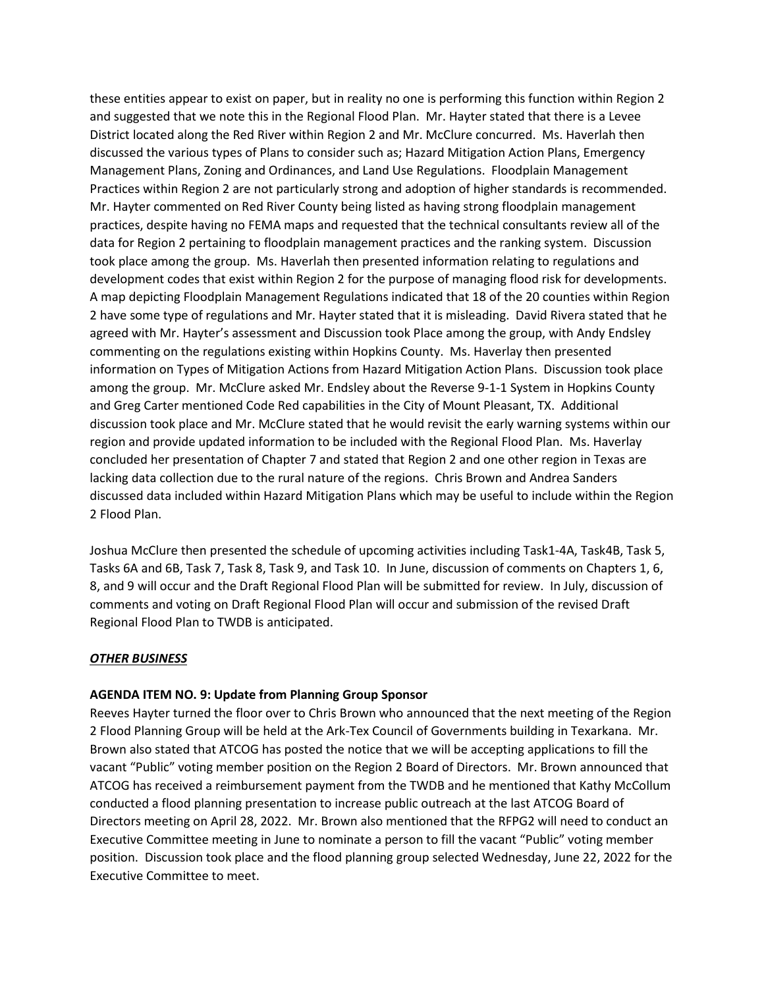these entities appear to exist on paper, but in reality no one is performing this function within Region 2 and suggested that we note this in the Regional Flood Plan. Mr. Hayter stated that there is a Levee District located along the Red River within Region 2 and Mr. McClure concurred. Ms. Haverlah then discussed the various types of Plans to consider such as; Hazard Mitigation Action Plans, Emergency Management Plans, Zoning and Ordinances, and Land Use Regulations. Floodplain Management Practices within Region 2 are not particularly strong and adoption of higher standards is recommended. Mr. Hayter commented on Red River County being listed as having strong floodplain management practices, despite having no FEMA maps and requested that the technical consultants review all of the data for Region 2 pertaining to floodplain management practices and the ranking system. Discussion took place among the group. Ms. Haverlah then presented information relating to regulations and development codes that exist within Region 2 for the purpose of managing flood risk for developments. A map depicting Floodplain Management Regulations indicated that 18 of the 20 counties within Region 2 have some type of regulations and Mr. Hayter stated that it is misleading. David Rivera stated that he agreed with Mr. Hayter's assessment and Discussion took Place among the group, with Andy Endsley commenting on the regulations existing within Hopkins County. Ms. Haverlay then presented information on Types of Mitigation Actions from Hazard Mitigation Action Plans. Discussion took place among the group. Mr. McClure asked Mr. Endsley about the Reverse 9-1-1 System in Hopkins County and Greg Carter mentioned Code Red capabilities in the City of Mount Pleasant, TX. Additional discussion took place and Mr. McClure stated that he would revisit the early warning systems within our region and provide updated information to be included with the Regional Flood Plan. Ms. Haverlay concluded her presentation of Chapter 7 and stated that Region 2 and one other region in Texas are lacking data collection due to the rural nature of the regions. Chris Brown and Andrea Sanders discussed data included within Hazard Mitigation Plans which may be useful to include within the Region 2 Flood Plan.

Joshua McClure then presented the schedule of upcoming activities including Task1-4A, Task4B, Task 5, Tasks 6A and 6B, Task 7, Task 8, Task 9, and Task 10. In June, discussion of comments on Chapters 1, 6, 8, and 9 will occur and the Draft Regional Flood Plan will be submitted for review. In July, discussion of comments and voting on Draft Regional Flood Plan will occur and submission of the revised Draft Regional Flood Plan to TWDB is anticipated.

## *OTHER BUSINESS*

#### **AGENDA ITEM NO. 9: Update from Planning Group Sponsor**

Reeves Hayter turned the floor over to Chris Brown who announced that the next meeting of the Region 2 Flood Planning Group will be held at the Ark-Tex Council of Governments building in Texarkana. Mr. Brown also stated that ATCOG has posted the notice that we will be accepting applications to fill the vacant "Public" voting member position on the Region 2 Board of Directors. Mr. Brown announced that ATCOG has received a reimbursement payment from the TWDB and he mentioned that Kathy McCollum conducted a flood planning presentation to increase public outreach at the last ATCOG Board of Directors meeting on April 28, 2022. Mr. Brown also mentioned that the RFPG2 will need to conduct an Executive Committee meeting in June to nominate a person to fill the vacant "Public" voting member position. Discussion took place and the flood planning group selected Wednesday, June 22, 2022 for the Executive Committee to meet.